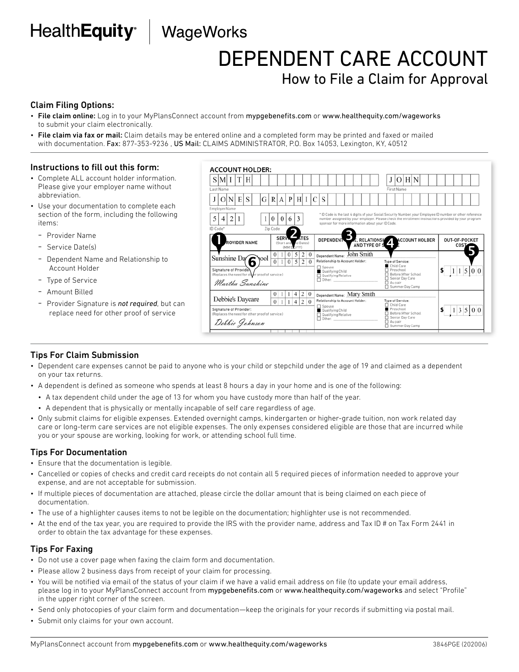## HealthEquity<sup>®</sup> | WageWorks

### DEPENDENT CARE ACCOUNT How to File a Claim for Approval

### Claim Filing Options:

- File claim online: Log in to your MyPlansConnect account from mypgebenefits.com or www.healthequity.com/wageworks to submit your claim electronically.
- File claim via fax or mail: Claim details may be entered online and a completed form may be printed and faxed or mailed with documentation. Fax: 877-353-9236, US Mail: CLAIMS ADMINISTRATOR, P.O. Box 14053, Lexington, KY, 40512

**ACCOUNT HOLDER:** 

#### Instructions to fill out this form:

- Complete ALL account holder information. Please give your employer name without abbreviation.
- Use your documentation to complete each section of the form, including the following items:
	- Provider Name
	- Service Date(s)
	- Dependent Name and Relationship to Account Holder
	- Type of Service
	- Amount Billed
	- Provider Signature is *not required*, but can replace need for other proof of service

#### Tips For Claim Submission

- Dependent care expenses cannot be paid to anyone who is your child or stepchild under the age of 19 and claimed as a dependent on your tax returns.
- A dependent is defined as someone who spends at least 8 hours a day in your home and is one of the following:
	- A tax dependent child under the age of 13 for whom you have custody more than half of the year.
	- A dependent that is physically or mentally incapable of self care regardless of age.
- Only submit claims for eligible expenses. Extended overnight camps, kindergarten or higher-grade tuition, non work related day care or long-term care services are not eligible expenses. The only expenses considered eligible are those that are incurred while you or your spouse are working, looking for work, or attending school full time.

#### Tips For Documentation

- Ensure that the documentation is legible.
- Cancelled or copies of checks and credit card receipts do not contain all 5 required pieces of information needed to approve your expense, and are not acceptable for submission.
- If multiple pieces of documentation are attached, please circle the dollar amount that is being claimed on each piece of documentation.
- The use of a highlighter causes items to not be legible on the documentation; highlighter use is not recommended.
- At the end of the tax year, you are required to provide the IRS with the provider name, address and Tax ID # on Tax Form 2441 in order to obtain the tax advantage for these expenses.

#### Tips For Faxing

- Do not use a cover page when faxing the claim form and documentation.
- Please allow 2 business days from receipt of your claim for processing.
- You will be notified via email of the status of your claim if we have a valid email address on file (to update your email address, please log in to your MyPlansConnect account from mypgebenefits.com or www.healthequity.com/wageworks and select "Profile" in the upper right corner of the screen.
- Send only photocopies of your claim form and documentation—keep the originals for your records if submitting via postal mail.
- Submit only claims for your own account.

| $S$ M I                                                                                                                                                                        |                      |                              |  | Н |  |  |                                                                                                                                                                                                                                                                                              |            |          |                                                                                                                                                                                                                                                                     |                            |                                     |                                                                                                                                 |            |  |  |  |  |      |  | J                                                                                                                            |  |  | O H N |  |  |  |                       |  |  |            |  |  |
|--------------------------------------------------------------------------------------------------------------------------------------------------------------------------------|----------------------|------------------------------|--|---|--|--|----------------------------------------------------------------------------------------------------------------------------------------------------------------------------------------------------------------------------------------------------------------------------------------------|------------|----------|---------------------------------------------------------------------------------------------------------------------------------------------------------------------------------------------------------------------------------------------------------------------|----------------------------|-------------------------------------|---------------------------------------------------------------------------------------------------------------------------------|------------|--|--|--|--|------|--|------------------------------------------------------------------------------------------------------------------------------|--|--|-------|--|--|--|-----------------------|--|--|------------|--|--|
|                                                                                                                                                                                | Last Name            |                              |  |   |  |  |                                                                                                                                                                                                                                                                                              |            |          |                                                                                                                                                                                                                                                                     |                            |                                     |                                                                                                                                 | First Name |  |  |  |  |      |  |                                                                                                                              |  |  |       |  |  |  |                       |  |  |            |  |  |
|                                                                                                                                                                                | O                    | P<br>NI<br>E<br>G<br>R.<br>S |  |   |  |  |                                                                                                                                                                                                                                                                                              |            |          |                                                                                                                                                                                                                                                                     | H I                        |                                     | S                                                                                                                               |            |  |  |  |  |      |  |                                                                                                                              |  |  |       |  |  |  |                       |  |  |            |  |  |
| <b>Employer Name</b>                                                                                                                                                           |                      |                              |  |   |  |  |                                                                                                                                                                                                                                                                                              |            |          |                                                                                                                                                                                                                                                                     |                            |                                     |                                                                                                                                 |            |  |  |  |  |      |  |                                                                                                                              |  |  |       |  |  |  |                       |  |  |            |  |  |
| 5<br>2                                                                                                                                                                         |                      |                              |  |   |  |  | * ID Code is the last 4 digits of your Social Security Number, your Employee ID number or other reference<br>$\theta$<br>$\theta$<br>number assigned by your employer. Please check the enrollment instructions provided by your program<br>sponsor for more information about your ID Code. |            |          |                                                                                                                                                                                                                                                                     |                            |                                     |                                                                                                                                 |            |  |  |  |  |      |  |                                                                                                                              |  |  |       |  |  |  |                       |  |  |            |  |  |
|                                                                                                                                                                                | ID Code*<br>Zip Code |                              |  |   |  |  |                                                                                                                                                                                                                                                                                              |            |          |                                                                                                                                                                                                                                                                     |                            |                                     |                                                                                                                                 |            |  |  |  |  |      |  |                                                                                                                              |  |  |       |  |  |  |                       |  |  |            |  |  |
| <b>ROVIDER NAME</b>                                                                                                                                                            |                      |                              |  |   |  |  | <b>SERVK</b>                                                                                                                                                                                                                                                                                 | (MM/DD/YY) |          | <b>ATES</b><br>(Start and and Dates)                                                                                                                                                                                                                                |                            | <b>DEPENDENT</b><br>AND TYPE OF SET |                                                                                                                                 |            |  |  |  |  |      |  | E, RELATIONSH ACCOUNT HOLDER                                                                                                 |  |  |       |  |  |  | OUT-OF-POCKET<br>COST |  |  |            |  |  |
| Sunshine Day<br><b>rool</b><br>6<br>Signature of Providen<br>(Replaces the need for other proof of service.)<br>Martha Sunshine                                                |                      |                              |  |   |  |  | $\Omega$<br>$\theta$                                                                                                                                                                                                                                                                         |            | $\Omega$ | 5 <sup>1</sup>                                                                                                                                                                                                                                                      | $\overline{2}$<br>$\Omega$ | $\Omega$                            | John Smith<br>Dependent Name:<br>Relationship to Account Holder:<br>Spouse<br>Qualifying Child<br>Qualifying Relative<br>Other: |            |  |  |  |  |      |  | <b>Type of Service:</b><br>Child Care<br>Preschool<br>Before/After School<br>Senior Day Care<br>Au pair<br>□ Summer Day Camp |  |  |       |  |  |  |                       |  |  | $1\vert 5$ |  |  |
| $\mathbf{0}$<br>0<br>Debbie's Daycare<br>$\Omega$<br>$\Omega$<br>$\overline{2}$<br>Signature of Provider:<br>(Replaces the need for other proof of service.)<br>Debbie Johnson |                      |                              |  |   |  |  |                                                                                                                                                                                                                                                                                              |            |          | Dependent Name: Mary Smith<br>Relationship to Account Holder:<br><b>Type of Service:</b><br>Child Care<br>□ Spouse<br>Preschool<br>Qualifying Child<br>Before/After School<br>Qualifying Relative<br>Senior Day Care<br>Other:<br>$\Box$ Au pair<br>Summer Day Camp |                            |                                     |                                                                                                                                 |            |  |  |  |  | 3500 |  |                                                                                                                              |  |  |       |  |  |  |                       |  |  |            |  |  |
|                                                                                                                                                                                |                      |                              |  |   |  |  |                                                                                                                                                                                                                                                                                              |            |          |                                                                                                                                                                                                                                                                     |                            |                                     |                                                                                                                                 |            |  |  |  |  |      |  |                                                                                                                              |  |  |       |  |  |  |                       |  |  |            |  |  |